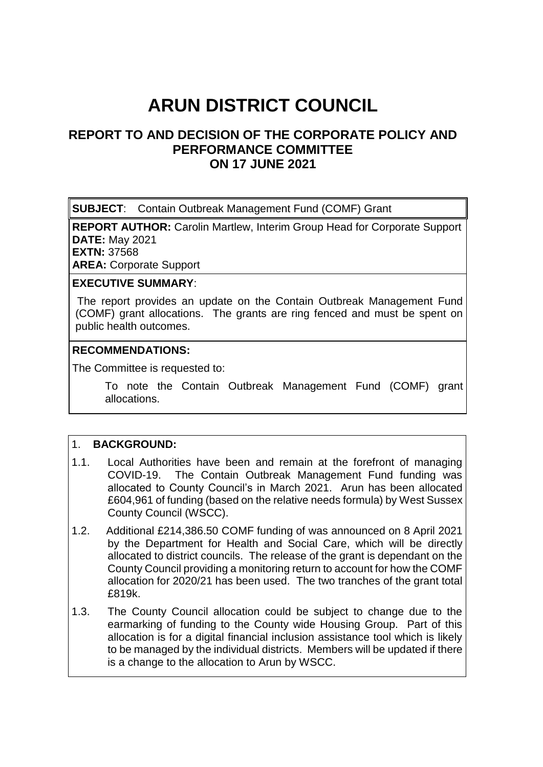# **ARUN DISTRICT COUNCIL**

# **REPORT TO AND DECISION OF THE CORPORATE POLICY AND PERFORMANCE COMMITTEE ON 17 JUNE 2021**

**SUBJECT**: Contain Outbreak Management Fund (COMF) Grant

**REPORT AUTHOR:** Carolin Martlew, Interim Group Head for Corporate Support **DATE:** May 2021 **EXTN:** 37568

**AREA:** Corporate Support

#### **EXECUTIVE SUMMARY**:

 The report provides an update on the Contain Outbreak Management Fund (COMF) grant allocations. The grants are ring fenced and must be spent on public health outcomes.

#### **RECOMMENDATIONS:**

The Committee is requested to:

To note the Contain Outbreak Management Fund (COMF) grant allocations.

## 1. **BACKGROUND:**

- 1.1. Local Authorities have been and remain at the forefront of managing COVID-19. The Contain Outbreak Management Fund funding was allocated to County Council's in March 2021. Arun has been allocated £604,961 of funding (based on the relative needs formula) by West Sussex County Council (WSCC).
- 1.2. Additional £214,386.50 COMF funding of was announced on 8 April 2021 by the Department for Health and Social Care, which will be directly allocated to district councils. The release of the grant is dependant on the County Council providing a monitoring return to account for how the COMF allocation for 2020/21 has been used. The two tranches of the grant total £819k.
- 1.3. The County Council allocation could be subject to change due to the earmarking of funding to the County wide Housing Group. Part of this allocation is for a digital financial inclusion assistance tool which is likely to be managed by the individual districts. Members will be updated if there is a change to the allocation to Arun by WSCC.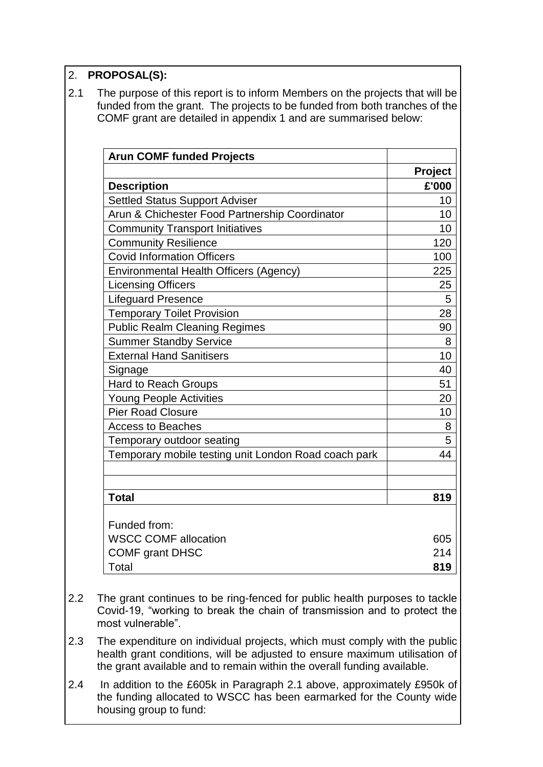## 2. **PROPOSAL(S):**

2.1 The purpose of this report is to inform Members on the projects that will be funded from the grant. The projects to be funded from both tranches of the COMF grant are detailed in appendix 1 and are summarised below:

| <b>Arun COMF funded Projects</b>                     |                |
|------------------------------------------------------|----------------|
|                                                      | <b>Project</b> |
| <b>Description</b>                                   | £'000          |
| <b>Settled Status Support Adviser</b>                | 10             |
| Arun & Chichester Food Partnership Coordinator       | 10             |
| <b>Community Transport Initiatives</b>               | 10             |
| <b>Community Resilience</b>                          | 120            |
| <b>Covid Information Officers</b>                    | 100            |
| <b>Environmental Health Officers (Agency)</b>        | 225            |
| <b>Licensing Officers</b>                            | 25             |
| <b>Lifeguard Presence</b>                            | 5              |
| <b>Temporary Toilet Provision</b>                    | 28             |
| <b>Public Realm Cleaning Regimes</b>                 | 90             |
| <b>Summer Standby Service</b>                        | 8              |
| <b>External Hand Sanitisers</b>                      | 10             |
| Signage                                              | 40             |
| <b>Hard to Reach Groups</b>                          | 51             |
| <b>Young People Activities</b>                       | 20             |
| <b>Pier Road Closure</b>                             | 10             |
| <b>Access to Beaches</b>                             | 8              |
| Temporary outdoor seating                            | 5              |
| Temporary mobile testing unit London Road coach park | 44             |
|                                                      |                |
| <b>Total</b>                                         | 819            |
| Funded from:                                         |                |
| <b>WSCC COMF allocation</b>                          | 605            |
| <b>COMF grant DHSC</b>                               | 214            |
| Total                                                | 819            |

- 2.2 The grant continues to be ring-fenced for public health purposes to tackle Covid-19, "working to break the chain of transmission and to protect the most vulnerable".
- 2.3 The expenditure on individual projects, which must comply with the public health grant conditions, will be adjusted to ensure maximum utilisation of the grant available and to remain within the overall funding available.
- 2.4 In addition to the £605k in Paragraph 2.1 above, approximately £950k of the funding allocated to WSCC has been earmarked for the County wide housing group to fund: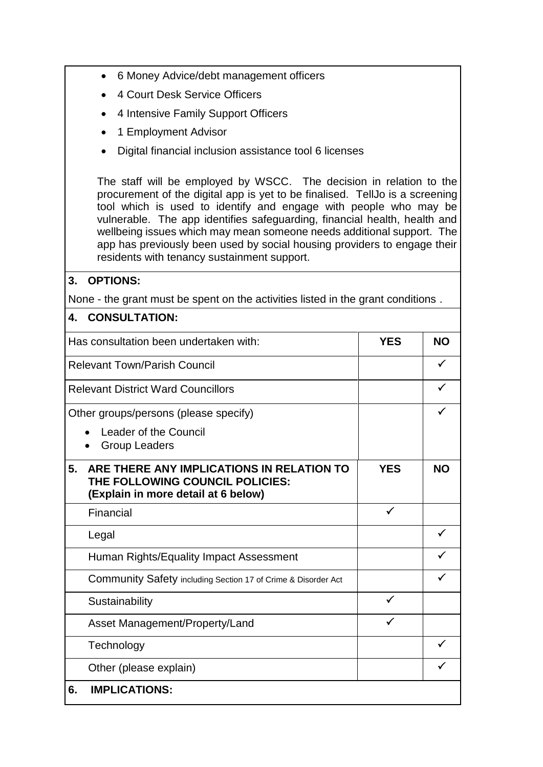- 6 Money Advice/debt management officers
- 4 Court Desk Service Officers
- 4 Intensive Family Support Officers
- 1 Employment Advisor
- Digital financial inclusion assistance tool 6 licenses

The staff will be employed by WSCC. The decision in relation to the procurement of the digital app is yet to be finalised. TellJo is a screening tool which is used to identify and engage with people who may be vulnerable. The app identifies safeguarding, financial health, health and wellbeing issues which may mean someone needs additional support. The app has previously been used by social housing providers to engage their residents with tenancy sustainment support.

## **3. OPTIONS:**

None - the grant must be spent on the activities listed in the grant conditions .

#### **4. CONSULTATION:**

| Has consultation been undertaken with:                                                                                    | <b>YES</b>   | <b>NO</b> |  |
|---------------------------------------------------------------------------------------------------------------------------|--------------|-----------|--|
| <b>Relevant Town/Parish Council</b>                                                                                       |              | ✓         |  |
| <b>Relevant District Ward Councillors</b>                                                                                 |              |           |  |
| Other groups/persons (please specify)                                                                                     |              |           |  |
| Leader of the Council<br><b>Group Leaders</b>                                                                             |              |           |  |
| ARE THERE ANY IMPLICATIONS IN RELATION TO<br>5.<br>THE FOLLOWING COUNCIL POLICIES:<br>(Explain in more detail at 6 below) | <b>YES</b>   | <b>NO</b> |  |
| Financial                                                                                                                 | $\checkmark$ |           |  |
| Legal                                                                                                                     |              |           |  |
| Human Rights/Equality Impact Assessment                                                                                   |              |           |  |
| <b>Community Safety including Section 17 of Crime &amp; Disorder Act</b>                                                  |              |           |  |
| Sustainability                                                                                                            | $\checkmark$ |           |  |
| Asset Management/Property/Land                                                                                            | ✓            |           |  |
| Technology                                                                                                                |              |           |  |
| Other (please explain)                                                                                                    |              |           |  |
| <b>IMPLICATIONS:</b><br>6.                                                                                                |              |           |  |